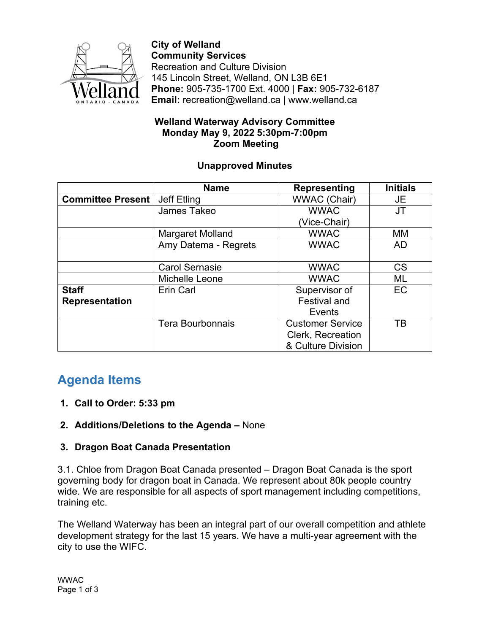

**City of Welland Community Services** Recreation and Culture Division 145 Lincoln Street, Welland, ON L3B 6E1 **Phone:** 905-735-1700 Ext. 4000 | **Fax:** 905-732-6187 **Email:** recreation@welland.ca | www.welland.ca

#### **Welland Waterway Advisory Committee Monday May 9, 2022 5:30pm-7:00pm Zoom Meeting**

#### **Unapproved Minutes**

|                          | <b>Name</b>             | Representing            | <b>Initials</b> |
|--------------------------|-------------------------|-------------------------|-----------------|
| <b>Committee Present</b> | Jeff Etling             | <b>WWAC (Chair)</b>     | JE              |
|                          | James Takeo             | <b>WWAC</b>             | JT              |
|                          |                         | (Vice-Chair)            |                 |
|                          | Margaret Molland        | <b>WWAC</b>             | <b>MM</b>       |
|                          | Amy Datema - Regrets    | <b>WWAC</b>             | <b>AD</b>       |
|                          |                         |                         |                 |
|                          | <b>Carol Sernasie</b>   | <b>WWAC</b>             | <b>CS</b>       |
|                          | Michelle Leone          | <b>WWAC</b>             | ML              |
| <b>Staff</b>             | Erin Carl               | Supervisor of           | <b>EC</b>       |
| Representation           |                         | <b>Festival and</b>     |                 |
|                          |                         | Events                  |                 |
|                          | <b>Tera Bourbonnais</b> | <b>Customer Service</b> | TB              |
|                          |                         | Clerk, Recreation       |                 |
|                          |                         | & Culture Division      |                 |

# **Agenda Items**

# **1. Call to Order: 5:33 pm**

**2. Additions/Deletions to the Agenda –** None

# **3. Dragon Boat Canada Presentation**

3.1. Chloe from Dragon Boat Canada presented – Dragon Boat Canada is the sport governing body for dragon boat in Canada. We represent about 80k people country wide. We are responsible for all aspects of sport management including competitions, training etc.

The Welland Waterway has been an integral part of our overall competition and athlete development strategy for the last 15 years. We have a multi-year agreement with the city to use the WIFC.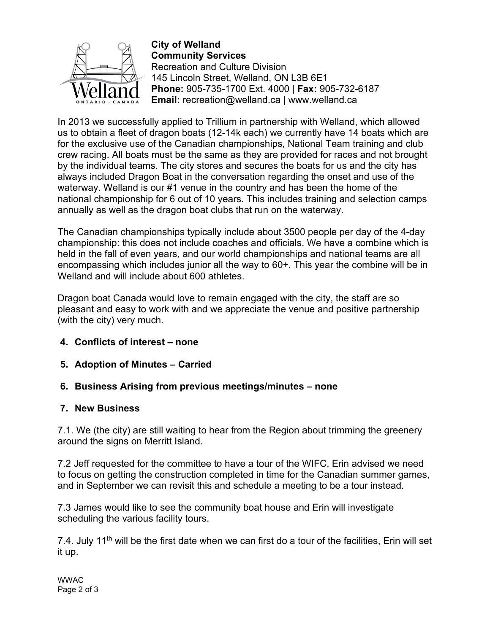

**City of Welland Community Services** Recreation and Culture Division 145 Lincoln Street, Welland, ON L3B 6E1 **Phone:** 905-735-1700 Ext. 4000 | **Fax:** 905-732-6187 **Email:** recreation@welland.ca | www.welland.ca

In 2013 we successfully applied to Trillium in partnership with Welland, which allowed us to obtain a fleet of dragon boats (12-14k each) we currently have 14 boats which are for the exclusive use of the Canadian championships, National Team training and club crew racing. All boats must be the same as they are provided for races and not brought by the individual teams. The city stores and secures the boats for us and the city has always included Dragon Boat in the conversation regarding the onset and use of the waterway. Welland is our #1 venue in the country and has been the home of the national championship for 6 out of 10 years. This includes training and selection camps annually as well as the dragon boat clubs that run on the waterway.

The Canadian championships typically include about 3500 people per day of the 4-day championship: this does not include coaches and officials. We have a combine which is held in the fall of even years, and our world championships and national teams are all encompassing which includes junior all the way to 60+. This year the combine will be in Welland and will include about 600 athletes.

Dragon boat Canada would love to remain engaged with the city, the staff are so pleasant and easy to work with and we appreciate the venue and positive partnership (with the city) very much.

- **4. Conflicts of interest – none**
- **5. Adoption of Minutes – Carried**

#### **6. Business Arising from previous meetings/minutes – none**

#### **7. New Business**

7.1. We (the city) are still waiting to hear from the Region about trimming the greenery around the signs on Merritt Island.

7.2 Jeff requested for the committee to have a tour of the WIFC, Erin advised we need to focus on getting the construction completed in time for the Canadian summer games, and in September we can revisit this and schedule a meeting to be a tour instead.

7.3 James would like to see the community boat house and Erin will investigate scheduling the various facility tours.

7.4. July 11<sup>th</sup> will be the first date when we can first do a tour of the facilities, Erin will set it up.